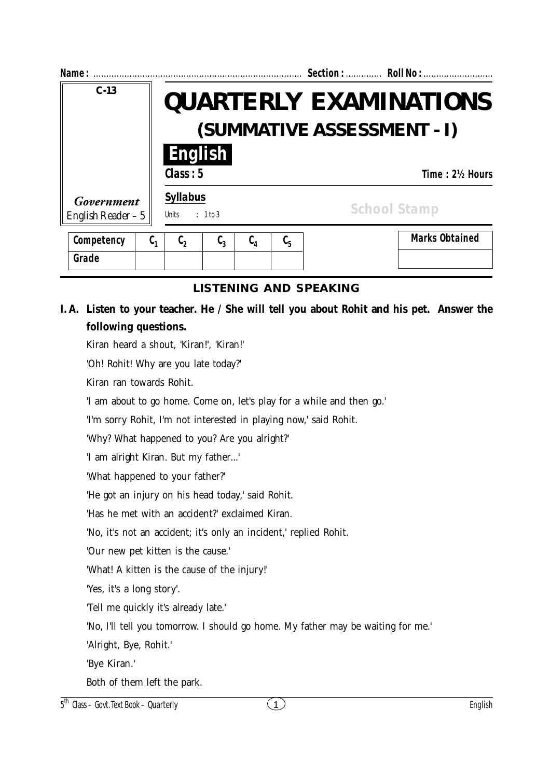| Name:                                    |         | Section:  Roll No:                                          |                               |               |         |                       |  |
|------------------------------------------|---------|-------------------------------------------------------------|-------------------------------|---------------|---------|-----------------------|--|
| $C-13$                                   |         | <b>QUARTERLY EXAMINATIONS</b><br>(SUMMATIVE ASSESSMENT - I) |                               |               |         |                       |  |
|                                          |         | English<br>Class: 5                                         |                               |               |         | Time: 2½ Hours        |  |
| <b>Government</b><br>English Reader $-5$ |         | <b>Syllabus</b><br>: 1 to 3<br>Units                        |                               |               |         | <b>School Stamp</b>   |  |
| Competency                               | $C_{1}$ | $\mathfrak{c}_2$                                            | $\mathfrak{c}_{\mathfrak{z}}$ | $C_{\Lambda}$ | $C_{5}$ | <b>Marks Obtained</b> |  |
| Grade                                    |         |                                                             |                               |               |         |                       |  |

## **I. A. Listen to your teacher. He / She will tell you about Rohit and his pet. Answer the following questions.**

Kiran heard a shout, 'Kiran!', 'Kiran!'

'Oh! Rohit! Why are you late today?'

Kiran ran towards Rohit.

'I am about to go home. Come on, let's play for a while and then go.'

'I'm sorry Rohit, I'm not interested in playing now,' said Rohit.

'Why? What happened to you? Are you alright?'

'I am alright Kiran. But my father...'

'What happened to your father?'

'He got an injury on his head today,' said Rohit.

'Has he met with an accident?' exclaimed Kiran.

'No, it's not an accident; it's only an incident,' replied Rohit.

'Our new pet kitten is the cause.'

'What! A kitten is the cause of the injury!'

'Yes, it's a long story'.

'Tell me quickly it's already late.'

'No, I'll tell you tomorrow. I should go home. My father may be waiting for me.'

'Alright, Bye, Rohit.'

'Bye Kiran.'

Both of them left the park.

 $5<sup>th</sup> Class – Govt. Text Book – Quarterly$  English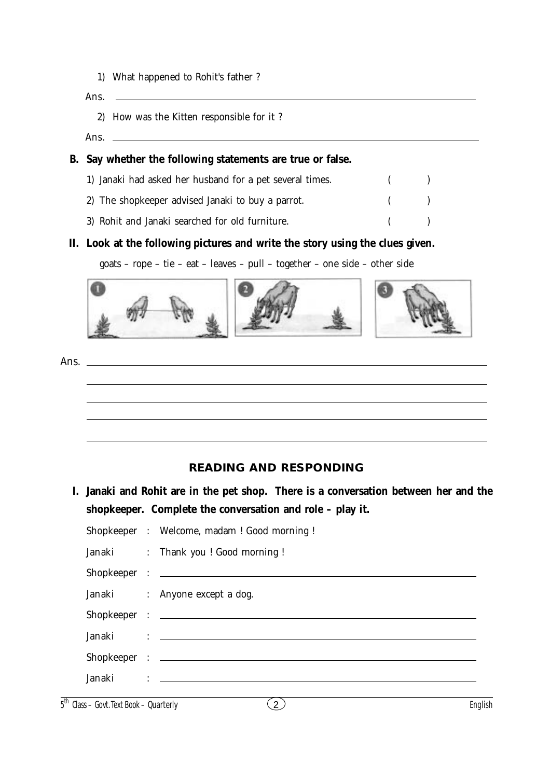1) What happened to Rohit's father ?

Ans.

- 2) How was the Kitten responsible for it ?
- Ans.

### **B. Say whether the following statements are true or false.**

| 1) Janaki had asked her husband for a pet several times. | $\left($ $\right)$ |  |
|----------------------------------------------------------|--------------------|--|
| 2) The shopkeeper advised Janaki to buy a parrot.        | $($ $)$            |  |
| 3) Rohit and Janaki searched for old furniture.          |                    |  |

#### **II. Look at the following pictures and write the story using the clues given.**

goats – rope – tie – eat – leaves – pull – together – one side – other side



Ans.

# **READING AND RESPONDING**

**I. Janaki and Rohit are in the pet shop. There is a conversation between her and the shopkeeper. Complete the conversation and role – play it.**

|  | Shopkeeper : Welcome, madam ! Good morning ! |
|--|----------------------------------------------|
|  | Janaki : Thank you ! Good morning !          |
|  |                                              |
|  | Janaki : Anyone except a dog.                |
|  |                                              |
|  |                                              |
|  |                                              |
|  |                                              |
|  |                                              |

 $\overline{5}$ <sup>th</sup> Class – Govt. Text Book – Quarterly English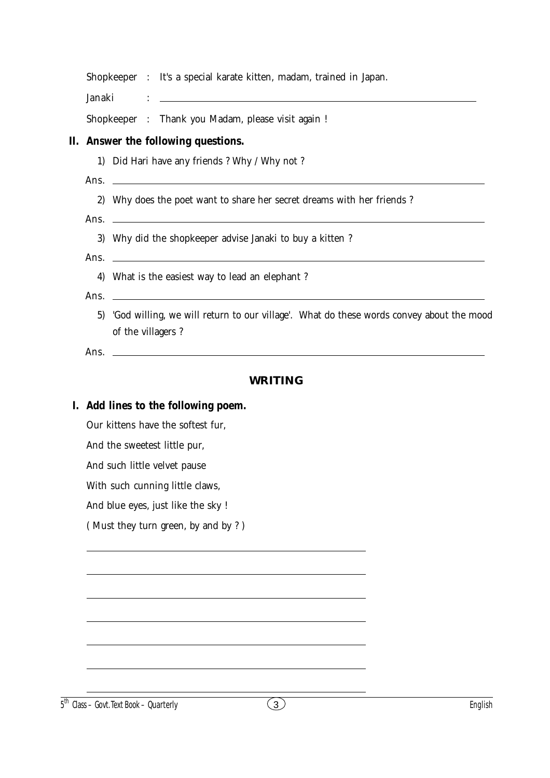|                                                                                                                 |  | Shopkeeper : It's a special karate kitten, madam, trained in Japan.                                                  |  |  |  |  |
|-----------------------------------------------------------------------------------------------------------------|--|----------------------------------------------------------------------------------------------------------------------|--|--|--|--|
| Janaki                                                                                                          |  | <u> 1989 - Johann Stein, marwolaethau a bhann an t-Amhainn an t-Amhainn an t-Amhainn an t-Amhainn an t-Amhainn a</u> |  |  |  |  |
|                                                                                                                 |  | Shopkeeper : Thank you Madam, please visit again !                                                                   |  |  |  |  |
|                                                                                                                 |  | II. Answer the following questions.                                                                                  |  |  |  |  |
|                                                                                                                 |  | 1) Did Hari have any friends ? Why / Why not ?                                                                       |  |  |  |  |
|                                                                                                                 |  | Ans. $\overline{\phantom{a}}$                                                                                        |  |  |  |  |
|                                                                                                                 |  | 2) Why does the poet want to share her secret dreams with her friends ?                                              |  |  |  |  |
|                                                                                                                 |  |                                                                                                                      |  |  |  |  |
|                                                                                                                 |  | 3) Why did the shopkeeper advise Janaki to buy a kitten?                                                             |  |  |  |  |
|                                                                                                                 |  |                                                                                                                      |  |  |  |  |
|                                                                                                                 |  | 4) What is the easiest way to lead an elephant ?                                                                     |  |  |  |  |
| 5) 'God willing, we will return to our village'. What do these words convey about the mood<br>of the villagers? |  |                                                                                                                      |  |  |  |  |
|                                                                                                                 |  |                                                                                                                      |  |  |  |  |
|                                                                                                                 |  | <b>WRITING</b>                                                                                                       |  |  |  |  |
|                                                                                                                 |  |                                                                                                                      |  |  |  |  |
|                                                                                                                 |  | I. Add lines to the following poem.                                                                                  |  |  |  |  |
|                                                                                                                 |  | Our kittens have the softest fur.                                                                                    |  |  |  |  |
|                                                                                                                 |  | And the sweetest little pur,                                                                                         |  |  |  |  |
|                                                                                                                 |  | And such little velvet pause                                                                                         |  |  |  |  |
|                                                                                                                 |  | With such cunning little claws,                                                                                      |  |  |  |  |
|                                                                                                                 |  | And blue eyes, just like the sky !<br>(Must they turn green, by and by?)                                             |  |  |  |  |
|                                                                                                                 |  |                                                                                                                      |  |  |  |  |
|                                                                                                                 |  |                                                                                                                      |  |  |  |  |
|                                                                                                                 |  |                                                                                                                      |  |  |  |  |
|                                                                                                                 |  |                                                                                                                      |  |  |  |  |
|                                                                                                                 |  |                                                                                                                      |  |  |  |  |
|                                                                                                                 |  |                                                                                                                      |  |  |  |  |
|                                                                                                                 |  |                                                                                                                      |  |  |  |  |
|                                                                                                                 |  |                                                                                                                      |  |  |  |  |

 $\overline{5}$ <sup>th</sup> Class – Govt. Text Book – Quarterly **English**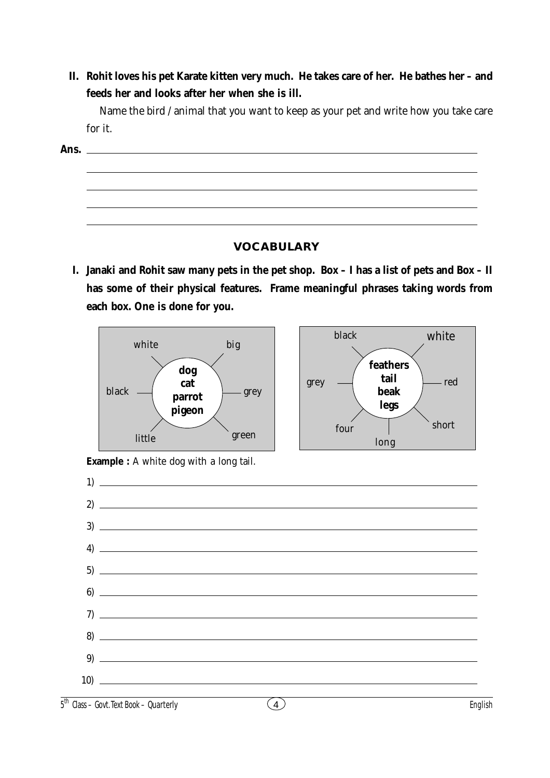**II. Rohit loves his pet Karate kitten very much. He takes care of her. He bathes her – and feeds her and looks after her when she is ill.**

Name the bird / animal that you want to keep as your pet and write how you take care for it.

**Ans.**

### **VOCABULARY**

**I. Janaki and Rohit saw many pets in the pet shop. Box – I has a list of pets and Box – II has some of their physical features. Frame meaningful phrases taking words from each box. One is done for you.**





**Example :** A white dog with a long tail.

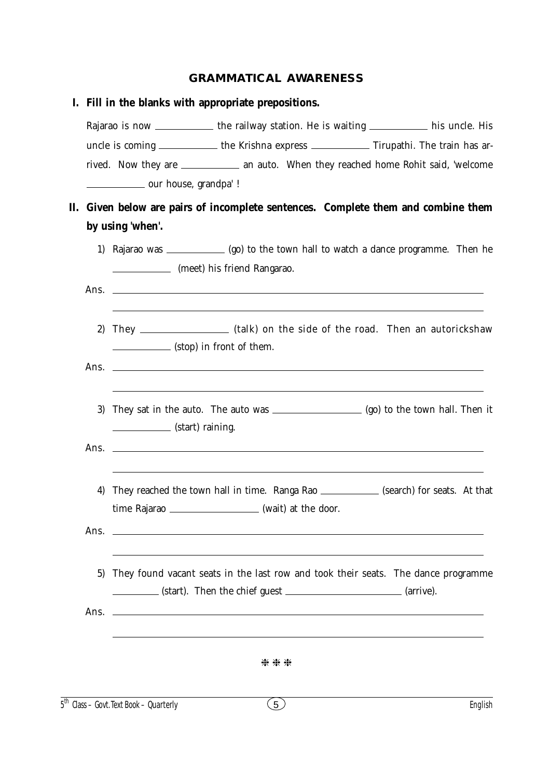### **GRAMMATICAL AWARENESS**

|                                                                                                                    |                                                                               |                                                                                                                     | I. Fill in the blanks with appropriate prepositions. |                                                                                                                       |                                                                |                                                                                             |  |  |  |  |  |
|--------------------------------------------------------------------------------------------------------------------|-------------------------------------------------------------------------------|---------------------------------------------------------------------------------------------------------------------|------------------------------------------------------|-----------------------------------------------------------------------------------------------------------------------|----------------------------------------------------------------|---------------------------------------------------------------------------------------------|--|--|--|--|--|
|                                                                                                                    |                                                                               |                                                                                                                     |                                                      |                                                                                                                       |                                                                | Rajarao is now _____________ the railway station. He is waiting ____________ his uncle. His |  |  |  |  |  |
|                                                                                                                    |                                                                               |                                                                                                                     |                                                      |                                                                                                                       |                                                                | uncle is coming ____________ the Krishna express ____________ Tirupathi. The train has ar-  |  |  |  |  |  |
|                                                                                                                    |                                                                               |                                                                                                                     |                                                      |                                                                                                                       |                                                                | rived. Now they are ________________ an auto. When they reached home Rohit said, 'welcome   |  |  |  |  |  |
|                                                                                                                    |                                                                               | _______________ our house, grandpa' !                                                                               |                                                      |                                                                                                                       |                                                                |                                                                                             |  |  |  |  |  |
| П.                                                                                                                 | Given below are pairs of incomplete sentences. Complete them and combine them |                                                                                                                     |                                                      |                                                                                                                       |                                                                |                                                                                             |  |  |  |  |  |
|                                                                                                                    |                                                                               | by using 'when'.                                                                                                    |                                                      |                                                                                                                       |                                                                |                                                                                             |  |  |  |  |  |
|                                                                                                                    | 1)                                                                            | Rajarao was _______________(go) to the town hall to watch a dance programme. Then he<br>(meet) his friend Rangarao. |                                                      |                                                                                                                       |                                                                |                                                                                             |  |  |  |  |  |
|                                                                                                                    |                                                                               |                                                                                                                     |                                                      |                                                                                                                       |                                                                |                                                                                             |  |  |  |  |  |
| They _______________________(talk) on the side of the road. Then an autorickshaw<br>2)<br>(stop) in front of them. |                                                                               |                                                                                                                     |                                                      |                                                                                                                       |                                                                |                                                                                             |  |  |  |  |  |
|                                                                                                                    |                                                                               |                                                                                                                     |                                                      |                                                                                                                       |                                                                | Ans. $\Box$                                                                                 |  |  |  |  |  |
|                                                                                                                    | 3)                                                                            | (start) raining.                                                                                                    |                                                      |                                                                                                                       |                                                                |                                                                                             |  |  |  |  |  |
|                                                                                                                    |                                                                               |                                                                                                                     |                                                      |                                                                                                                       |                                                                |                                                                                             |  |  |  |  |  |
|                                                                                                                    | 4)                                                                            |                                                                                                                     |                                                      | time Rajarao ____________________ (wait) at the door.                                                                 |                                                                | They reached the town hall in time. Ranga Rao _____________ (search) for seats. At that     |  |  |  |  |  |
|                                                                                                                    |                                                                               |                                                                                                                     |                                                      |                                                                                                                       | Ans. $\qquad \qquad$                                           |                                                                                             |  |  |  |  |  |
|                                                                                                                    | 5)                                                                            |                                                                                                                     |                                                      |                                                                                                                       | (start). Then the chief guest _______________________(arrive). | They found vacant seats in the last row and took their seats. The dance programme           |  |  |  |  |  |
|                                                                                                                    | Ans.                                                                          |                                                                                                                     |                                                      | <u> 1990 - Johann Barbara, martin amerikan basar dan berasal dalam basa dan basar dalam basa dalam basa dalam bas</u> |                                                                |                                                                                             |  |  |  |  |  |
|                                                                                                                    |                                                                               |                                                                                                                     |                                                      | ***                                                                                                                   |                                                                |                                                                                             |  |  |  |  |  |